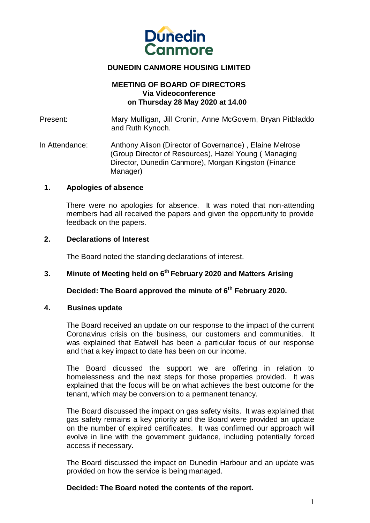

## **DUNEDIN CANMORE HOUSING LIMITED**

### **MEETING OF BOARD OF DIRECTORS Via Videoconference on Thursday 28 May 2020 at 14.00**

Present: Mary Mulligan, Jill Cronin, Anne McGovern, Bryan Pitbladdo and Ruth Kynoch.

In Attendance: Anthony Alison (Director of Governance) , Elaine Melrose (Group Director of Resources), Hazel Young ( Managing Director, Dunedin Canmore), Morgan Kingston (Finance Manager)

## **1. Apologies of absence**

There were no apologies for absence. It was noted that non-attending members had all received the papers and given the opportunity to provide feedback on the papers.

#### **2. Declarations of Interest**

The Board noted the standing declarations of interest.

#### **3. Minute of Meeting held on 6 th February 2020 and Matters Arising**

**Decided: The Board approved the minute of 6 th February 2020.**

#### **4. Busines update**

The Board received an update on our response to the impact of the current Coronavirus crisis on the business, our customers and communities. It was explained that Eatwell has been a particular focus of our response and that a key impact to date has been on our income.

The Board dicussed the support we are offering in relation to homelessness and the next steps for those properties provided. It was explained that the focus will be on what achieves the best outcome for the tenant, which may be conversion to a permanent tenancy.

The Board discussed the impact on gas safety visits. It was explained that gas safety remains a key priority and the Board were provided an update on the number of expired certificates. It was confirmed our approach will evolve in line with the government guidance, including potentially forced access if necessary.

The Board discussed the impact on Dunedin Harbour and an update was provided on how the service is being managed.

## **Decided: The Board noted the contents of the report.**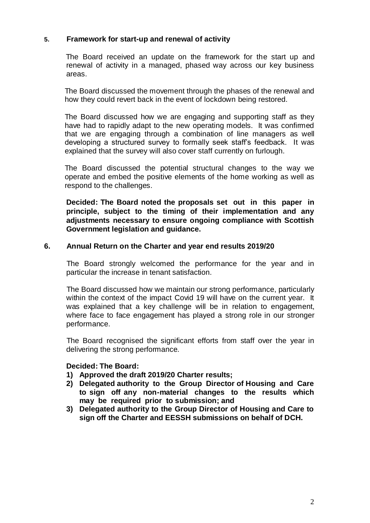## **5. Framework for start-up and renewal of activity**

 The Board received an update on the framework for the start up and renewal of activity in a managed, phased way across our key business areas.

The Board discussed the movement through the phases of the renewal and how they could revert back in the event of lockdown being restored.

The Board discussed how we are engaging and supporting staff as they have had to rapidly adapt to the new operating models. It was confirmed that we are engaging through a combination of line managers as well developing a structured survey to formally seek staff's feedback. It was explained that the survey will also cover staff currently on furlough.

The Board discussed the potential structural changes to the way we operate and embed the positive elements of the home working as well as respond to the challenges.

**Decided: The Board noted the proposals set out in this paper in principle, subject to the timing of their implementation and any adjustments necessary to ensure ongoing compliance with Scottish Government legislation and guidance.**

## **6. Annual Return on the Charter and year end results 2019/20**

The Board strongly welcomed the performance for the year and in particular the increase in tenant satisfaction.

The Board discussed how we maintain our strong performance, particularly within the context of the impact Covid 19 will have on the current year. It was explained that a key challenge will be in relation to engagement, where face to face engagement has played a strong role in our stronger performance.

The Board recognised the significant efforts from staff over the year in delivering the strong performance.

## **Decided: The Board:**

- **1) Approved the draft 2019/20 Charter results;**
- **2) Delegated authority to the Group Director of Housing and Care to sign off any non-material changes to the results which may be required prior to submission; and**
- **3) Delegated authority to the Group Director of Housing and Care to sign off the Charter and EESSH submissions on behalf of DCH.**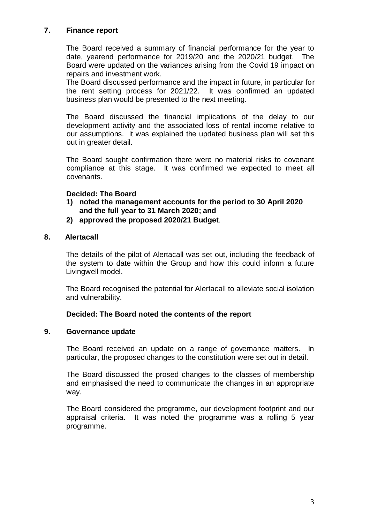# **7. Finance report**

The Board received a summary of financial performance for the year to date, yearend performance for 2019/20 and the 2020/21 budget. The Board were updated on the variances arising from the Covid 19 impact on repairs and investment work.

The Board discussed performance and the impact in future, in particular for the rent setting process for 2021/22. It was confirmed an updated business plan would be presented to the next meeting.

The Board discussed the financial implications of the delay to our development activity and the associated loss of rental income relative to our assumptions. It was explained the updated business plan will set this out in greater detail.

The Board sought confirmation there were no material risks to covenant compliance at this stage. It was confirmed we expected to meet all covenants.

# **Decided: The Board**

- **1) noted the management accounts for the period to 30 April 2020 and the full year to 31 March 2020; and**
- **2) approved the proposed 2020/21 Budget**.

# **8. Alertacall**

The details of the pilot of Alertacall was set out, including the feedback of the system to date within the Group and how this could inform a future Livingwell model.

The Board recognised the potential for Alertacall to alleviate social isolation and vulnerability.

## **Decided: The Board noted the contents of the report**

## **9. Governance update**

The Board received an update on a range of governance matters. In particular, the proposed changes to the constitution were set out in detail.

The Board discussed the prosed changes to the classes of membership and emphasised the need to communicate the changes in an appropriate way.

The Board considered the programme, our development footprint and our appraisal criteria. It was noted the programme was a rolling 5 year programme.